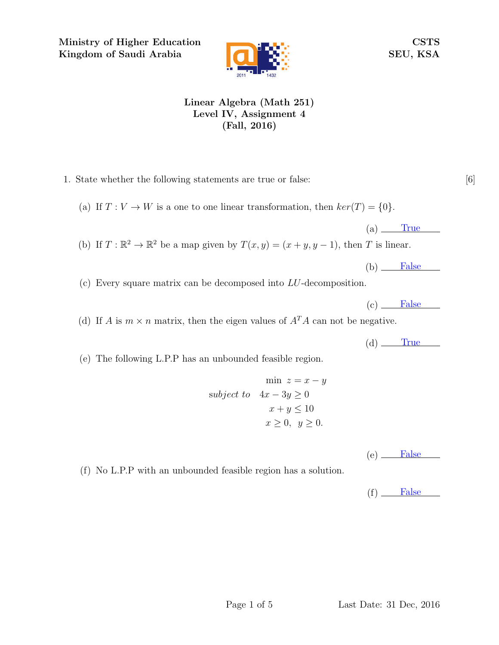Ministry of Higher Education Kingdom of Saudi Arabia



CSTS SEU, KSA

## Linear Algebra (Math 251) Level IV, Assignment 4 (Fall, 2016)

1. State whether the following statements are true or false: [6]

(a) If  $T: V \to W$  is a one to one linear transformation, then  $ker(T) = \{0\}.$ 

 $(a)$  True

(b) If  $T: \mathbb{R}^2 \to \mathbb{R}^2$  be a map given by  $T(x, y) = (x + y, y - 1)$ , then T is linear.

 $(b)$  False

(c) Every square matrix can be decomposed into LU-decomposition.

 $(c)$  False

(d) If A is  $m \times n$  matrix, then the eigen values of  $A<sup>T</sup>A$  can not be negative.

 $(d)$  True

(e) The following L.P.P has an unbounded feasible region.

$$
\min z = x - y
$$
  
subject to  $4x - 3y \ge 0$   
 $x + y \le 10$   
 $x \ge 0, y \ge 0.$ 

 $(e)$  False

(f) No L.P.P with an unbounded feasible region has a solution.

 $(f)$  False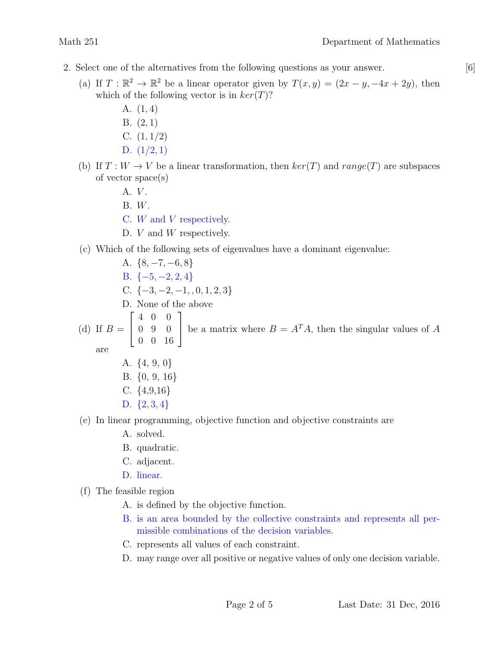- 
- 2. Select one of the alternatives from the following questions as your answer. [6]
	- (a) If  $T : \mathbb{R}^2 \to \mathbb{R}^2$  be a linear operator given by  $T(x, y) = (2x y, -4x + 2y)$ , then which of the following vector is in  $ker(T)$ ?
		- A. (1, 4)
		- B. (2, 1)
		- C.  $(1, 1/2)$
		- D.  $(1/2, 1)$
	- (b) If  $T: W \to V$  be a linear transformation, then  $ker(T)$  and  $range(T)$  are subspaces of vector space(s)
		- A. *V*.
		- B. W.
		- C. W and V respectively.
		- D. *V* and *W* respectively.
	- (c) Which of the following sets of eigenvalues have a dominant eigenvalue:
		- A.  $\{8, -7, -6, 8\}$ B.  $\{-5, -2, 2, 4\}$
		- C.  $\{-3, -2, -1, , 0, 1, 2, 3\}$
		- D. None of the above
			- $\begin{bmatrix} 4 & 0 & 0 \end{bmatrix}$ 1

(d) If  $B = \begin{bmatrix} 0 & 9 & 0 \\ 0 & 0 & 10 \end{bmatrix}$ 0 0 16 be a matrix where  $B = A<sup>T</sup>A$ , then the singular values of A

- are
- A. {4, 9, 0}
- B. {0, 9, 16}
- C.  $\{4,9,16\}$
- D. {2, 3, 4}
- (e) In linear programming, objective function and objective constraints are
	- A. solved.
	- B. quadratic.
	- C. adjacent.
	- D. linear.
- (f) The feasible region
	- A. is defined by the objective function.
	- B. is an area bounded by the collective constraints and represents all permissible combinations of the decision variables.
	- C. represents all values of each constraint.
	- D. may range over all positive or negative values of only one decision variable.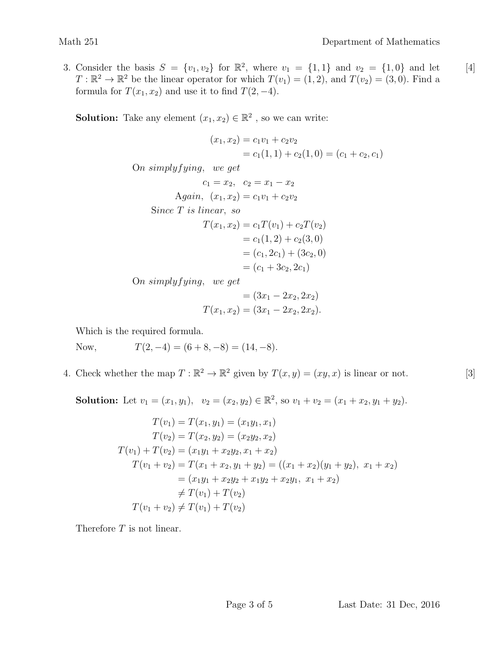3. Consider the basis  $S = \{v_1, v_2\}$  for  $\mathbb{R}^2$ , where  $v_1 = \{1, 1\}$  and  $v_2 = \{1, 0\}$  and let [4]  $T: \mathbb{R}^2 \to \mathbb{R}^2$  be the linear operator for which  $T(v_1) = (1, 2)$ , and  $T(v_2) = (3, 0)$ . Find a formula for  $T(x_1, x_2)$  and use it to find  $T(2, -4)$ .

**Solution:** Take any element  $(x_1, x_2) \in \mathbb{R}^2$ , so we can write:

$$
(x_1, x_2) = c_1v_1 + c_2v_2
$$
  
\n
$$
= c_1(1, 1) + c_2(1, 0) = (c_1 + c_2, c_1)
$$
  
\nOn simplyfying, we get  
\n
$$
c_1 = x_2, \quad c_2 = x_1 - x_2
$$
  
\nAgain,  $(x_1, x_2) = c_1v_1 + c_2v_2$   
\nSince *T* is linear, so  
\n
$$
T(x_1, x_2) = c_1T(v_1) + c_2T(v_2)
$$
  
\n
$$
= c_1(1, 2) + c_2(3, 0)
$$
  
\n
$$
= (c_1, 2c_1) + (3c_2, 0)
$$
  
\n
$$
= (c_1 + 3c_2, 2c_1)
$$

On simplyfying, we get

$$
= (3x1 - 2x2, 2x2)
$$

$$
T(x1, x2) = (3x1 - 2x2, 2x2).
$$

Which is the required formula.

Now,  $T(2,-4) = (6+8,-8) = (14,-8).$ 

4. Check whether the map  $T : \mathbb{R}^2 \to \mathbb{R}^2$  given by  $T(x, y) = (xy, x)$  is linear or not. [3]

Solution: Let  $v_1 = (x_1, y_1), v_2 = (x_2, y_2) \in \mathbb{R}^2$ , so  $v_1 + v_2 = (x_1 + x_2, y_1 + y_2)$ .

$$
T(v_1) = T(x_1, y_1) = (x_1y_1, x_1)
$$
  
\n
$$
T(v_2) = T(x_2, y_2) = (x_2y_2, x_2)
$$
  
\n
$$
T(v_1) + T(v_2) = (x_1y_1 + x_2y_2, x_1 + x_2)
$$
  
\n
$$
T(v_1 + v_2) = T(x_1 + x_2, y_1 + y_2) = ((x_1 + x_2)(y_1 + y_2), x_1 + x_2)
$$
  
\n
$$
= (x_1y_1 + x_2y_2 + x_1y_2 + x_2y_1, x_1 + x_2)
$$
  
\n
$$
\neq T(v_1) + T(v_2)
$$
  
\n
$$
T(v_1 + v_2) \neq T(v_1) + T(v_2)
$$

Therefore  $T$  is not linear.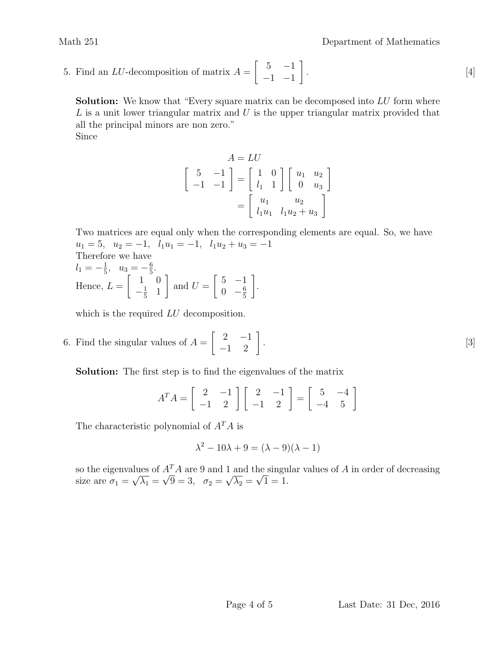5. Find an *LU*-decomposition of matrix  $A = \begin{bmatrix} 5 & -1 \\ 1 & 1 \end{bmatrix}$ .  $[4]$  $-1$   $-1$ 1 .

**Solution:** We know that "Every square matrix can be decomposed into LU form where  $L$  is a unit lower triangular matrix and  $U$  is the upper triangular matrix provided that all the principal minors are non zero." Since

$$
A = LU
$$
  
\n
$$
\begin{bmatrix} 5 & -1 \\ -1 & -1 \end{bmatrix} = \begin{bmatrix} 1 & 0 \\ l_1 & 1 \end{bmatrix} \begin{bmatrix} u_1 & u_2 \\ 0 & u_3 \end{bmatrix}
$$
  
\n
$$
= \begin{bmatrix} u_1 & u_2 \\ l_1u_1 & l_1u_2 + u_3 \end{bmatrix}
$$

Two matrices are equal only when the corresponding elements are equal. So, we have  $u_1 = 5$ ,  $u_2 = -1$ ,  $l_1u_1 = -1$ ,  $l_1u_2 + u_3 = -1$ Therefore we have  $l_1 = -\frac{1}{5}$  $\frac{1}{5}$ ,  $u_3 = -\frac{6}{5}$ 5 .

Hence, 
$$
L = \begin{bmatrix} 1 & 5 \\ -\frac{1}{5} & 1 \end{bmatrix}
$$
 and  $U = \begin{bmatrix} 5 & -1 \\ 0 & -\frac{6}{5} \end{bmatrix}$ .

which is the required  $LU$  decomposition.

6. Find the singular values of  $A = \begin{bmatrix} 2 & -1 \\ -1 & 2 \end{bmatrix}$ . [3]

Solution: The first step is to find the eigenvalues of the matrix

$$
A^T A = \begin{bmatrix} 2 & -1 \\ -1 & 2 \end{bmatrix} \begin{bmatrix} 2 & -1 \\ -1 & 2 \end{bmatrix} = \begin{bmatrix} 5 & -4 \\ -4 & 5 \end{bmatrix}
$$

The characteristic polynomial of  $A<sup>T</sup>A$  is

$$
\lambda^2 - 10\lambda + 9 = (\lambda - 9)(\lambda - 1)
$$

so the eigenvalues of  $A<sup>T</sup>A$  are 9 and 1 and the singular values of A in order of decreasing size are  $\sigma_1 =$ µu  $\overline{\lambda_1} = \sqrt{9} = 3$ ,  $\sigma_2 =$  $^{\perp}$  $\lambda_2 = \sqrt{1} = 1.$